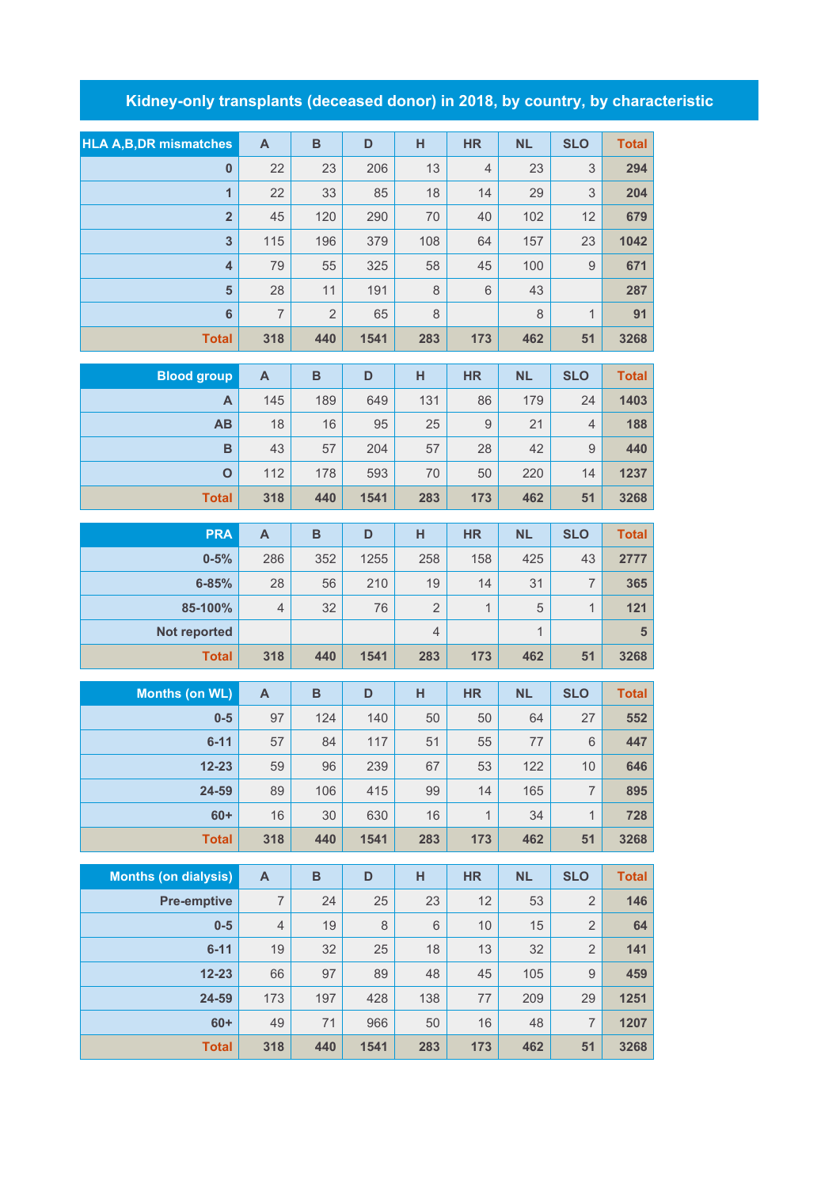## **Kidney-only transplants (deceased donor) in 2018, by country, by characteristic**

| <b>HLA A, B, DR mismatches</b> | A              | B              | D    | н       | <b>HR</b>      | <b>NL</b> | <b>SLO</b> | <b>Total</b> |
|--------------------------------|----------------|----------------|------|---------|----------------|-----------|------------|--------------|
| $\bf{0}$                       | 22             | 23             | 206  | 13      | $\overline{4}$ | 23        | 3          | 294          |
| $\overline{1}$                 | 22             | 33             | 85   | 18      | 14             | 29        | 3          | 204          |
| $\overline{2}$                 | 45             | 120            | 290  | 70      | 40             | 102       | 12         | 679          |
| 3                              | 115            | 196            | 379  | 108     | 64             | 157       | 23         | 1042         |
| $\overline{4}$                 | 79             | 55             | 325  | 58      | 45             | 100       | 9          | 671          |
| 5                              | 28             | 11             | 191  | $\,8\,$ | 6              | 43        |            | 287          |
| 6                              | $\overline{7}$ | $\overline{2}$ | 65   | 8       |                | 8         | 1          | 91           |
| <b>Total</b>                   | 318            | 440            | 1541 | 283     | 173            | 462       | 51         | 3268         |

| <b>Blood group</b> | A   | B   | D    | н   | <b>HR</b> | <b>NL</b> | <b>SLO</b> | <b>Total</b> |
|--------------------|-----|-----|------|-----|-----------|-----------|------------|--------------|
| Α                  | 145 | 189 | 649  | 131 | 86        | 179       | 24         | 1403         |
| AB                 | 18  | 16  | 95   | 25  | 9         | 21        | 4          | 188          |
| B                  | 43  | 57  | 204  | 57  | 28        | 42        | 9          | 440          |
| $\mathbf O$        | 112 | 178 | 593  | 70  | 50        | 220       | 14         | 1237         |
| <b>Total</b>       | 318 | 440 | 1541 | 283 | 173       | 462       | 51         | 3268         |

| <b>PRA</b>          | A              | B   | D    | н              | <b>HR</b>                | <b>NL</b> | <b>SLO</b> | <b>Total</b> |
|---------------------|----------------|-----|------|----------------|--------------------------|-----------|------------|--------------|
| $0 - 5%$            | 286            | 352 | 1255 | 258            | 158                      | 425       | 43         | 2777         |
| $6 - 85%$           | 28             | 56  | 210  | 19             | 14                       | 31        |            | 365          |
| 85-100%             | $\overline{4}$ | 32  | 76   | $\overline{2}$ | $\overline{\mathcal{A}}$ | 5         | и          | 121          |
| <b>Not reported</b> |                |     |      | 4              |                          | 1         |            | 5            |
| <b>Total</b>        | 318            | 440 | 1541 | 283            | 173                      | 462       | 51         | 3268         |

| <b>Months (on WL)</b> | A   | B   | D    | н   | <b>HR</b>   | <b>NL</b> | <b>SLO</b>     | <b>Total</b> |
|-----------------------|-----|-----|------|-----|-------------|-----------|----------------|--------------|
| $0-5$                 | 97  | 124 | 140  | 50  | 50          | 64        | 27             | 552          |
| $6 - 11$              | 57  | 84  | 117  | 51  | 55          | 77        | 6              | 447          |
| $12 - 23$             | 59  | 96  | 239  | 67  | 53          | 122       | 10             | 646          |
| 24-59                 | 89  | 106 | 415  | 99  | 14          | 165       | 7              | 895          |
| $60+$                 | 16  | 30  | 630  | 16  | $\mathbf 1$ | 34        | $\overline{1}$ | 728          |
| <b>Total</b>          | 318 | 440 | 1541 | 283 | 173         | 462       | 51             | 3268         |

| <b>Months (on dialysis)</b> | $\mathsf{A}$   | B   | D    | н   | <b>HR</b> | <b>NL</b> | <b>SLO</b>     | <b>Total</b> |
|-----------------------------|----------------|-----|------|-----|-----------|-----------|----------------|--------------|
| <b>Pre-emptive</b>          | 7              | 24  | 25   | 23  | 12        | 53        | $\overline{2}$ | 146          |
| $0-5$                       | $\overline{4}$ | 19  | 8    | 6   | 10        | 15        | $\overline{2}$ | 64           |
| $6 - 11$                    | 19             | 32  | 25   | 18  | 13        | 32        | $\overline{2}$ | 141          |
| $12 - 23$                   | 66             | 97  | 89   | 48  | 45        | 105       | 9              | 459          |
| 24-59                       | 173            | 197 | 428  | 138 | 77        | 209       | 29             | 1251         |
| $60+$                       | 49             | 71  | 966  | 50  | 16        | 48        | 7              | 1207         |
| <b>Total</b>                | 318            | 440 | 1541 | 283 | 173       | 462       | 51             | 3268         |